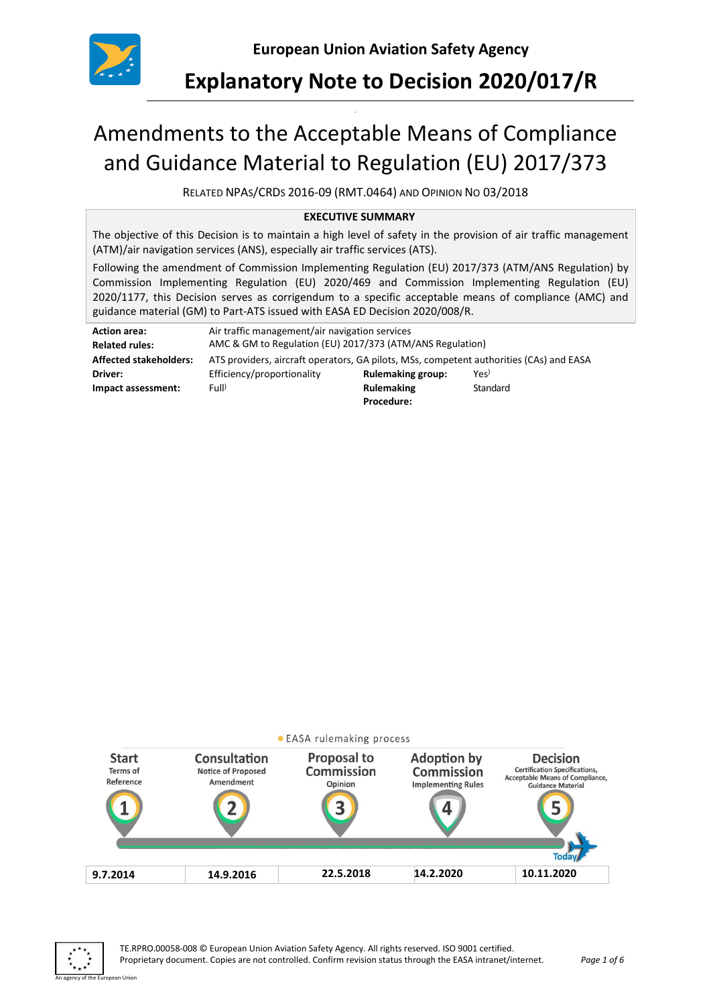

## **Explanatory Note to Decision 2020/017/R**

# Amendments to the Acceptable Means of Compliance and Guidance Material to Regulation (EU) 2017/373

`

RELATED NPAS/CRDS 2016-09 (RMT.0464) AND OPINION NO 03/2018

#### **EXECUTIVE SUMMARY**

The objective of this Decision is to maintain a high level of safety in the provision of air traffic management (ATM)/air navigation services (ANS), especially air traffic services (ATS).

Following the amendment of Commission Implementing Regulation (EU) 2017/373 (ATM/ANS Regulation) by Commission Implementing Regulation (EU) 2020/469 and Commission Implementing Regulation (EU) 2020/1177, this Decision serves as corrigendum to a specific acceptable means of compliance (AMC) and guidance material (GM) to Part-ATS issued with EASA ED Decision 2020/008/R.

| <b>Action area:</b>           | Air traffic management/air navigation services                                          |                          |                  |  |
|-------------------------------|-----------------------------------------------------------------------------------------|--------------------------|------------------|--|
| <b>Related rules:</b>         | AMC & GM to Regulation (EU) 2017/373 (ATM/ANS Regulation)                               |                          |                  |  |
| <b>Affected stakeholders:</b> | ATS providers, aircraft operators, GA pilots, MSs, competent authorities (CAs) and EASA |                          |                  |  |
| Driver:                       | Efficiency/proportionality                                                              | <b>Rulemaking group:</b> | Yes <sup>)</sup> |  |
| Impact assessment:            | Full <sup>)</sup>                                                                       | <b>Rulemaking</b>        | Standard         |  |
|                               |                                                                                         | Procedure:               |                  |  |



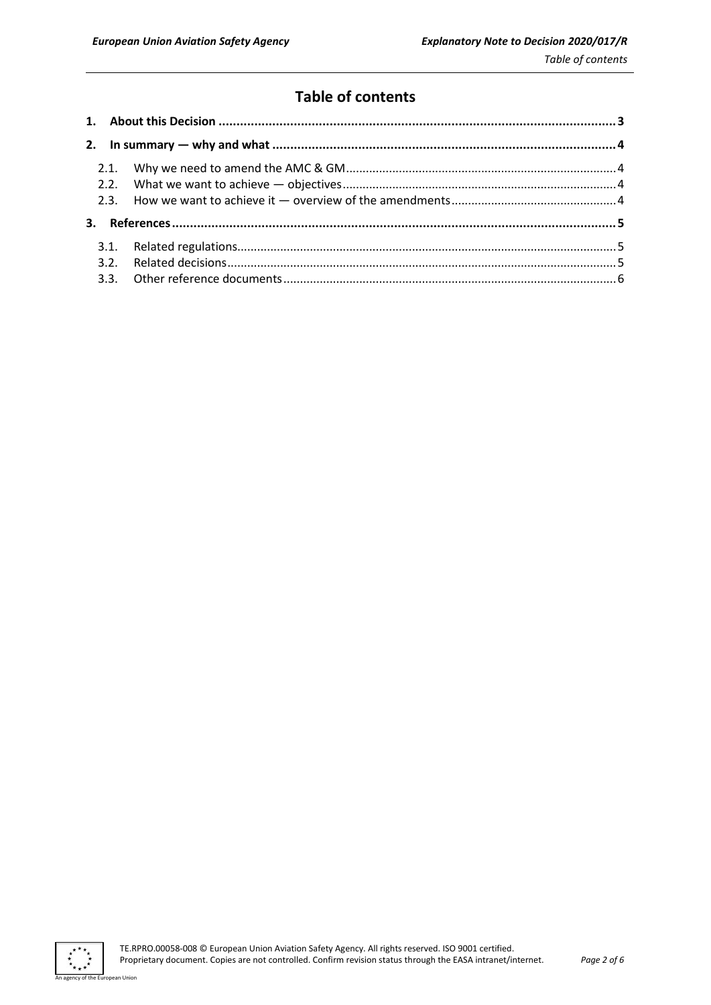## **Table of contents**

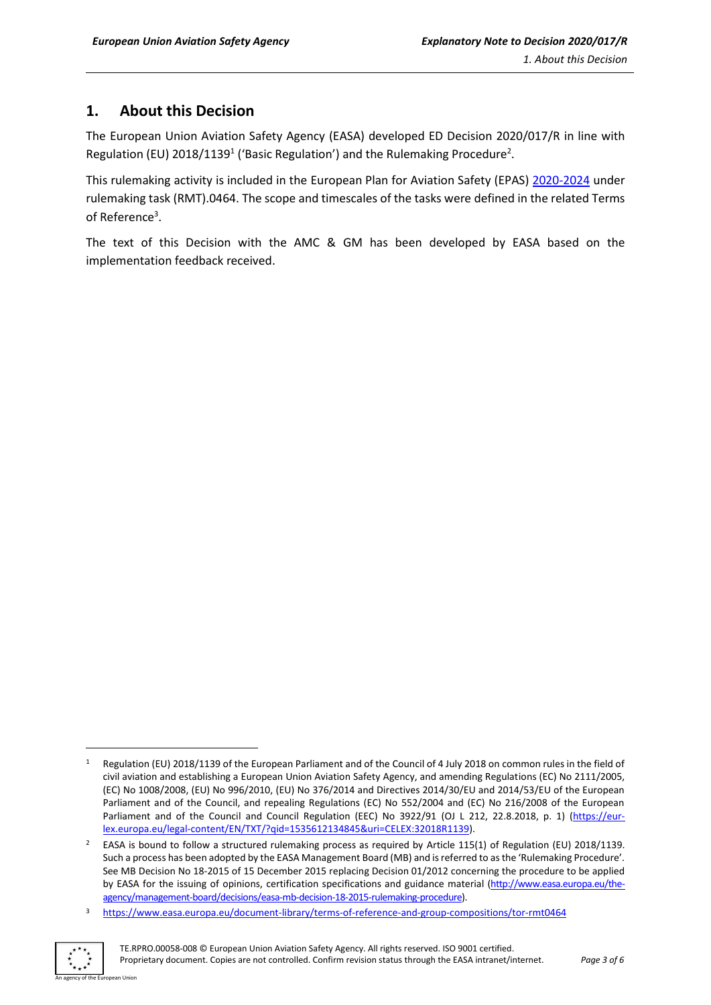## <span id="page-2-0"></span>**1. About this Decision**

The European Union Aviation Safety Agency (EASA) developed ED Decision 2020/017/R in line with Regulation (EU) 2018/1139<sup>1</sup> ('Basic Regulation') and the Rulemaking Procedure<sup>2</sup>.

This rulemaking activity is included in the European Plan for Aviation Safety (EPAS) [2020-2024](https://www.easa.europa.eu/sites/default/files/dfu/EPAS_2020-2024.pdf) under rulemaking task (RMT).0464. The scope and timescales of the tasks were defined in the related Terms of Reference<sup>3</sup>.

The text of this Decision with the AMC & GM has been developed by EASA based on the implementation feedback received.

<sup>3</sup> <https://www.easa.europa.eu/document-library/terms-of-reference-and-group-compositions/tor-rmt0464>



<sup>1</sup> Regulation (EU) 2018/1139 of the European Parliament and of the Council of 4 July 2018 on common rules in the field of civil aviation and establishing a European Union Aviation Safety Agency, and amending Regulations (EC) No 2111/2005, (EC) No 1008/2008, (EU) No 996/2010, (EU) No 376/2014 and Directives 2014/30/EU and 2014/53/EU of the European Parliament and of the Council, and repealing Regulations (EC) No 552/2004 and (EC) No 216/2008 of the European Parliament and of the Council and Council Regulation (EEC) No 3922/91 (OJ L 212, 22.8.2018, p. 1) [\(https://eur](https://eur-lex.europa.eu/legal-content/EN/TXT/?qid=1535612134845&uri=CELEX:32018R1139)[lex.europa.eu/legal-content/EN/TXT/?qid=1535612134845&uri=CELEX:32018R1139\)](https://eur-lex.europa.eu/legal-content/EN/TXT/?qid=1535612134845&uri=CELEX:32018R1139).

<sup>2</sup> EASA is bound to follow a structured rulemaking process as required by Article 115(1) of Regulation (EU) 2018/1139. Such a process has been adopted by the EASA Management Board (MB) and is referred to as the 'Rulemaking Procedure'. See MB Decision No 18-2015 of 15 December 2015 replacing Decision 01/2012 concerning the procedure to be applied by EASA for the issuing of opinions, certification specifications and guidance material [\(http://www.easa.europa.eu/the](http://www.easa.europa.eu/the-agency/management-board/decisions/easa-mb-decision-18-2015-rulemaking-procedure)[agency/management-board/decisions/easa-mb-decision-18-2015-rulemaking-procedure\)](http://www.easa.europa.eu/the-agency/management-board/decisions/easa-mb-decision-18-2015-rulemaking-procedure).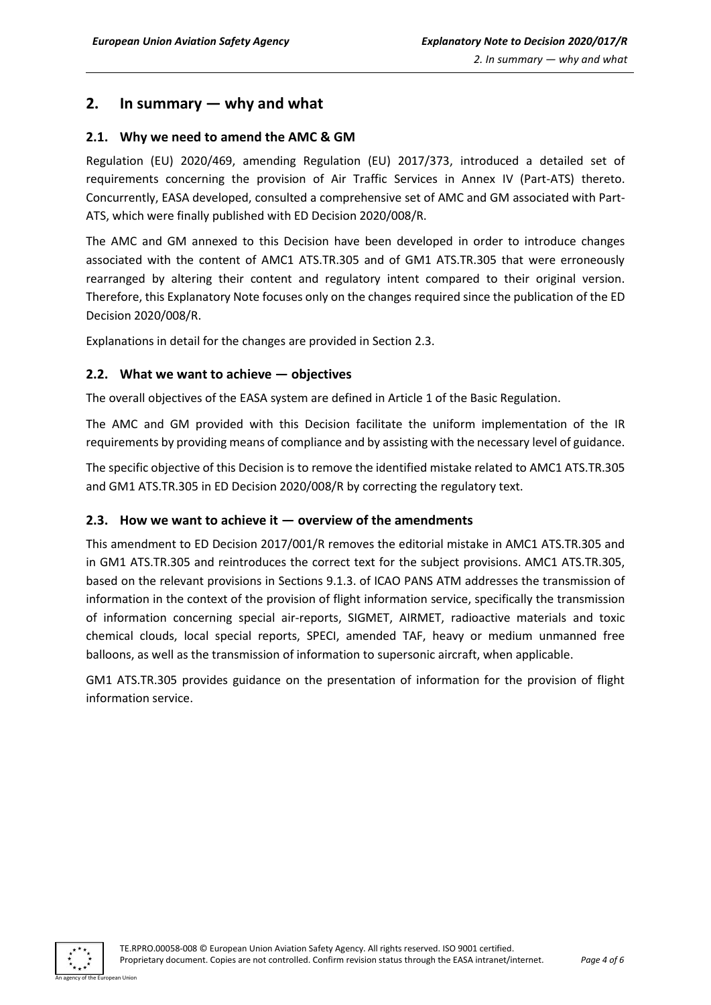## <span id="page-3-0"></span>**2. In summary — why and what**

#### <span id="page-3-1"></span>**2.1. Why we need to amend the AMC & GM**

Regulation (EU) 2020/469, amending Regulation (EU) 2017/373, introduced a detailed set of requirements concerning the provision of Air Traffic Services in Annex IV (Part-ATS) thereto. Concurrently, EASA developed, consulted a comprehensive set of AMC and GM associated with Part-ATS, which were finally published with ED Decision 2020/008/R.

The AMC and GM annexed to this Decision have been developed in order to introduce changes associated with the content of AMC1 ATS.TR.305 and of GM1 ATS.TR.305 that were erroneously rearranged by altering their content and regulatory intent compared to their original version. Therefore, this Explanatory Note focuses only on the changes required since the publication of the ED Decision 2020/008/R.

Explanations in detail for the changes are provided in Section 2.3.

#### <span id="page-3-2"></span>**2.2. What we want to achieve — objectives**

The overall objectives of the EASA system are defined in Article 1 of the Basic Regulation.

The AMC and GM provided with this Decision facilitate the uniform implementation of the IR requirements by providing means of compliance and by assisting with the necessary level of guidance.

The specific objective of this Decision is to remove the identified mistake related to AMC1 ATS.TR.305 and GM1 ATS.TR.305 in ED Decision 2020/008/R by correcting the regulatory text.

#### <span id="page-3-3"></span>**2.3. How we want to achieve it — overview of the amendments**

This amendment to ED Decision 2017/001/R removes the editorial mistake in AMC1 ATS.TR.305 and in GM1 ATS.TR.305 and reintroduces the correct text for the subject provisions. AMC1 ATS.TR.305, based on the relevant provisions in Sections 9.1.3. of ICAO PANS ATM addresses the transmission of information in the context of the provision of flight information service, specifically the transmission of information concerning special air-reports, SIGMET, AIRMET, radioactive materials and toxic chemical clouds, local special reports, SPECI, amended TAF, heavy or medium unmanned free balloons, as well as the transmission of information to supersonic aircraft, when applicable.

GM1 ATS.TR.305 provides guidance on the presentation of information for the provision of flight information service.

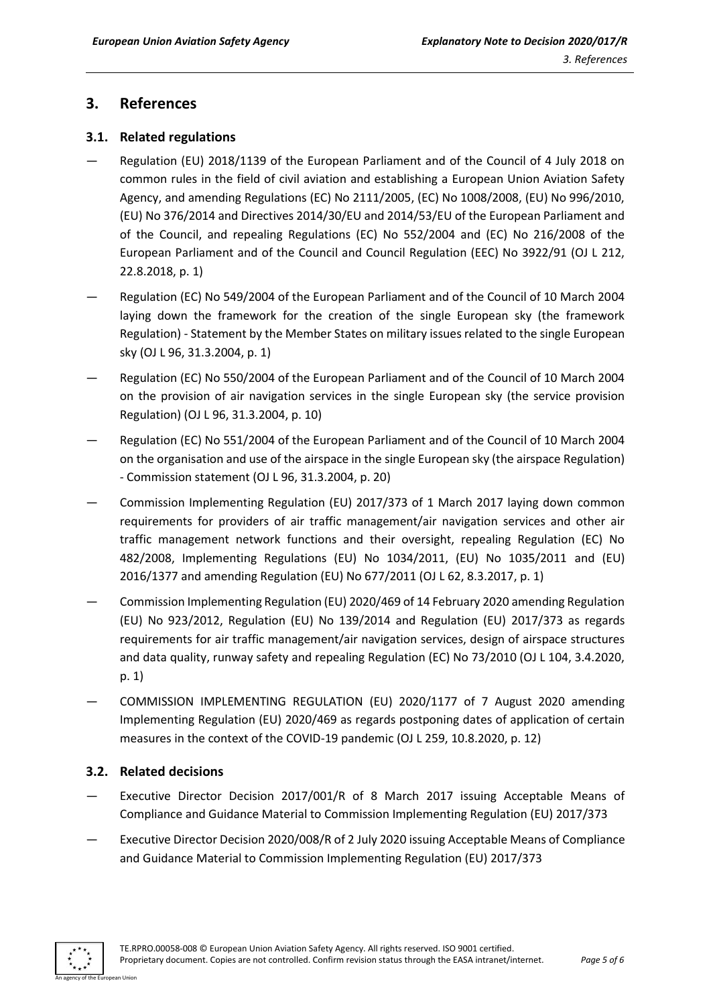## <span id="page-4-0"></span>**3. References**

#### <span id="page-4-1"></span>**3.1. Related regulations**

- Regulation (EU) 2018/1139 of the European Parliament and of the Council of 4 July 2018 on common rules in the field of civil aviation and establishing a European Union Aviation Safety Agency, and amending Regulations (EC) No 2111/2005, (EC) No 1008/2008, (EU) No 996/2010, (EU) No 376/2014 and Directives 2014/30/EU and 2014/53/EU of the European Parliament and of the Council, and repealing Regulations (EC) No 552/2004 and (EC) No 216/2008 of the European Parliament and of the Council and Council Regulation (EEC) No 3922/91 (OJ L 212, 22.8.2018, p. 1)
- Regulation (EC) No 549/2004 of the European Parliament and of the Council of 10 March 2004 laying down the framework for the creation of the single European sky (the framework Regulation) - Statement by the Member States on military issues related to the single European sky (OJ L 96, 31.3.2004, p. 1)
- Regulation (EC) No 550/2004 of the European Parliament and of the Council of 10 March 2004 on the provision of air navigation services in the single European sky (the service provision Regulation) (OJ L 96, 31.3.2004, p. 10)
- Regulation (EC) No 551/2004 of the European Parliament and of the Council of 10 March 2004 on the organisation and use of the airspace in the single European sky (the airspace Regulation) - Commission statement (OJ L 96, 31.3.2004, p. 20)
- Commission Implementing Regulation (EU) 2017/373 of 1 March 2017 laying down common requirements for providers of air traffic management/air navigation services and other air traffic management network functions and their oversight, repealing Regulation (EC) No 482/2008, Implementing Regulations (EU) No 1034/2011, (EU) No 1035/2011 and (EU) 2016/1377 and amending Regulation (EU) No 677/2011 (OJ L 62, 8.3.2017, p. 1)
- Commission Implementing Regulation (EU) 2020/469 of 14 February 2020 amending Regulation (EU) No 923/2012, Regulation (EU) No 139/2014 and Regulation (EU) 2017/373 as regards requirements for air traffic management/air navigation services, design of airspace structures and data quality, runway safety and repealing Regulation (EC) No 73/2010 (OJ L 104, 3.4.2020, p. 1)
- COMMISSION IMPLEMENTING REGULATION (EU) 2020/1177 of 7 August 2020 amending Implementing Regulation (EU) 2020/469 as regards postponing dates of application of certain measures in the context of the COVID-19 pandemic (OJ L 259, 10.8.2020, p. 12)

#### <span id="page-4-2"></span>**3.2. Related decisions**

- Executive Director Decision 2017/001/R of 8 March 2017 issuing Acceptable Means of Compliance and Guidance Material to Commission Implementing Regulation (EU) 2017/373
- Executive Director Decision 2020/008/R of 2 July 2020 issuing Acceptable Means of Compliance and Guidance Material to Commission Implementing Regulation (EU) 2017/373